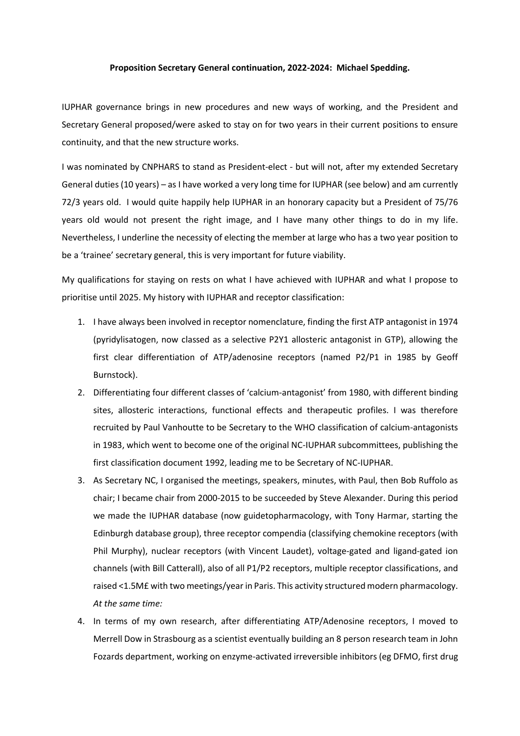## **Proposition Secretary General continuation, 2022-2024: Michael Spedding.**

IUPHAR governance brings in new procedures and new ways of working, and the President and Secretary General proposed/were asked to stay on for two years in their current positions to ensure continuity, and that the new structure works.

I was nominated by CNPHARS to stand as President-elect - but will not, after my extended Secretary General duties (10 years) – as I have worked a very long time for IUPHAR (see below) and am currently 72/3 years old. I would quite happily help IUPHAR in an honorary capacity but a President of 75/76 years old would not present the right image, and I have many other things to do in my life. Nevertheless, I underline the necessity of electing the member at large who has a two year position to be a 'trainee' secretary general, this is very important for future viability.

My qualifications for staying on rests on what I have achieved with IUPHAR and what I propose to prioritise until 2025. My history with IUPHAR and receptor classification:

- 1. I have always been involved in receptor nomenclature, finding the first ATP antagonist in 1974 (pyridylisatogen, now classed as a selective P2Y1 allosteric antagonist in GTP), allowing the first clear differentiation of ATP/adenosine receptors (named P2/P1 in 1985 by Geoff Burnstock).
- 2. Differentiating four different classes of 'calcium-antagonist' from 1980, with different binding sites, allosteric interactions, functional effects and therapeutic profiles. I was therefore recruited by Paul Vanhoutte to be Secretary to the WHO classification of calcium-antagonists in 1983, which went to become one of the original NC-IUPHAR subcommittees, publishing the first classification document 1992, leading me to be Secretary of NC-IUPHAR.
- 3. As Secretary NC, I organised the meetings, speakers, minutes, with Paul, then Bob Ruffolo as chair; I became chair from 2000-2015 to be succeeded by Steve Alexander. During this period we made the IUPHAR database (now guidetopharmacology, with Tony Harmar, starting the Edinburgh database group), three receptor compendia (classifying chemokine receptors (with Phil Murphy), nuclear receptors (with Vincent Laudet), voltage-gated and ligand-gated ion channels (with Bill Catterall), also of all P1/P2 receptors, multiple receptor classifications, and raised <1.5M£ with two meetings/year in Paris. This activity structured modern pharmacology. *At the same time:*
- 4. In terms of my own research, after differentiating ATP/Adenosine receptors, I moved to Merrell Dow in Strasbourg as a scientist eventually building an 8 person research team in John Fozards department, working on enzyme-activated irreversible inhibitors (eg DFMO, first drug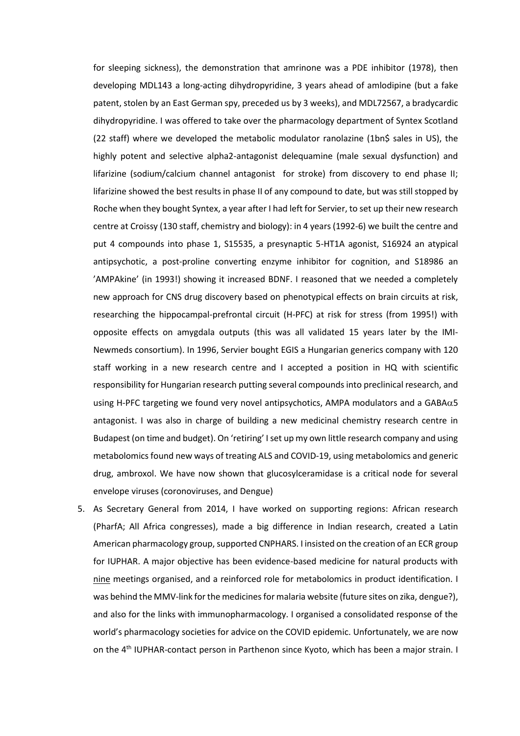for sleeping sickness), the demonstration that amrinone was a PDE inhibitor (1978), then developing MDL143 a long-acting dihydropyridine, 3 years ahead of amlodipine (but a fake patent, stolen by an East German spy, preceded us by 3 weeks), and MDL72567, a bradycardic dihydropyridine. I was offered to take over the pharmacology department of Syntex Scotland (22 staff) where we developed the metabolic modulator ranolazine (1bn\$ sales in US), the highly potent and selective alpha2-antagonist delequamine (male sexual dysfunction) and lifarizine (sodium/calcium channel antagonist for stroke) from discovery to end phase II; lifarizine showed the best results in phase II of any compound to date, but was still stopped by Roche when they bought Syntex, a year after I had left for Servier, to set up their new research centre at Croissy (130 staff, chemistry and biology): in 4 years (1992-6) we built the centre and put 4 compounds into phase 1, S15535, a presynaptic 5-HT1A agonist, S16924 an atypical antipsychotic, a post-proline converting enzyme inhibitor for cognition, and S18986 an 'AMPAkine' (in 1993!) showing it increased BDNF. I reasoned that we needed a completely new approach for CNS drug discovery based on phenotypical effects on brain circuits at risk, researching the hippocampal-prefrontal circuit (H-PFC) at risk for stress (from 1995!) with opposite effects on amygdala outputs (this was all validated 15 years later by the IMI-Newmeds consortium). In 1996, Servier bought EGIS a Hungarian generics company with 120 staff working in a new research centre and I accepted a position in HQ with scientific responsibility for Hungarian research putting several compounds into preclinical research, and using H-PFC targeting we found very novel antipsychotics, AMPA modulators and a  $GABA\alpha5$ antagonist. I was also in charge of building a new medicinal chemistry research centre in Budapest (on time and budget). On 'retiring' I set up my own little research company and using metabolomics found new ways of treating ALS and COVID-19, using metabolomics and generic drug, ambroxol. We have now shown that glucosylceramidase is a critical node for several envelope viruses (coronoviruses, and Dengue)

5. As Secretary General from 2014, I have worked on supporting regions: African research (PharfA; All Africa congresses), made a big difference in Indian research, created a Latin American pharmacology group, supported CNPHARS. I insisted on the creation of an ECR group for IUPHAR. A major objective has been evidence-based medicine for natural products with nine meetings organised, and a reinforced role for metabolomics in product identification. I was behind the MMV-link for the medicines for malaria website (future sites on zika, dengue?), and also for the links with immunopharmacology. I organised a consolidated response of the world's pharmacology societies for advice on the COVID epidemic. Unfortunately, we are now on the 4<sup>th</sup> IUPHAR-contact person in Parthenon since Kyoto, which has been a major strain. I